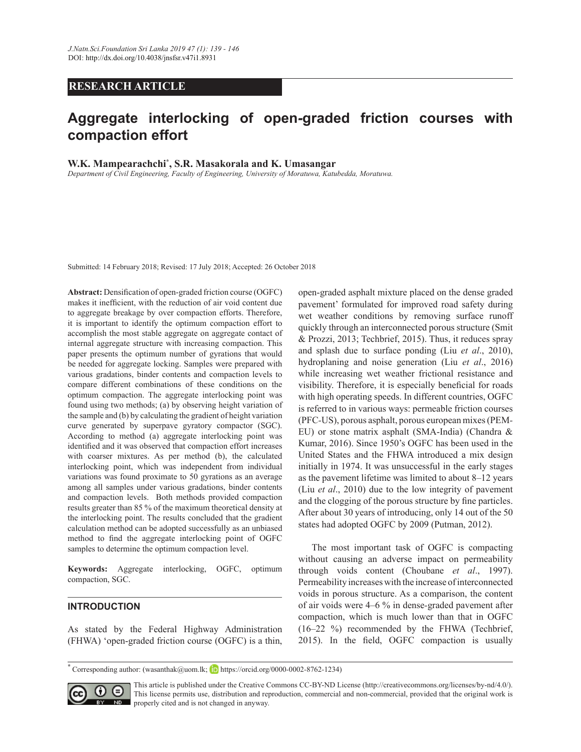## **RESEARCH ARTICLE**

# Aggregate interlocking of open-graded friction courses with **Compaction effort**

**W.K. Mampearachchi\*, S.R. Masakorala and K. Umasangar** 

*Department of Civil Engineering, Faculty of Engineering, University of Moratuwa, Katubedda, Moratuwa.*

Submitted: 14 February 2018; Revised: 17 July 2018; Accepted: 26 October 2018

Abstract: Densification of open-graded friction course (OGFC) makes it inefficient, with the reduction of air void content due to aggregate breakage by over compaction efforts. Therefore, it is important to identify the optimum compaction effort to accomplish the most stable aggregate on aggregate contact of internal aggregate structure with increasing compaction. This paper presents the optimum number of gyrations that would be needed for aggregate locking. Samples were prepared with various gradations, binder contents and compaction levels to compare different combinations of these conditions on the optimum compaction. The aggregate interlocking point was found using two methods; (a) by observing height variation of the sample and (b) by calculating the gradient of height variation curve generated by superpave gyratory compactor (SGC). According to method (a) aggregate interlocking point was identified and it was observed that compaction effort increases with coarser mixtures. As per method (b), the calculated interlocking point, which was independent from individual variations was found proximate to 50 gyrations as an average among all samples under various gradations, binder contents and compaction levels. Both methods provided compaction results greater than 85  $\%$  of the maximum theoretical density at the interlocking point. The results concluded that the gradient calculation method can be adopted successfully as an unbiased method to find the aggregate interlocking point of OGFC samples to determine the optimum compaction level.

Keywords: Aggregate interlocking, OGFC, optimum compaction, SGC.

### **INTRODUCTION**

As stated by the Federal Highway Administration (FHWA) 'open-graded friction course (OGFC) is a thin, open-graded asphalt mixture placed on the dense graded pavement' formulated for improved road safety during wet weather conditions by removing surface runoff quickly through an interconnected porous structure (Smit  $& Prozzi, 2013$ ; Techbrief, 2015). Thus, it reduces spray and splash due to surface ponding (Liu *et al* hydroplaning and noise generation (Liu *et al* while increasing wet weather frictional resistance and visibility. Therefore, it is especially beneficial for roads with high operating speeds. In different countries, OGFC is referred to in various ways: permeable friction courses (PFC-US), porous asphalt, porous european mixes (PEM-EU) or stone matrix asphalt (SMA-India) (Chandra  $\&$ Kumar, 2016). Since 1950's OGFC has been used in the United States and the FHWA introduced a mix design initially in 1974. It was unsuccessful in the early stages as the pavement lifetime was limited to about 8–12 years (Liu *et al.*, 2010) due to the low integrity of pavement and the clogging of the porous structure by fine particles. After about 30 years of introducing, only 14 out of the 50 states had adopted OGFC by 2009 (Putman, 2012).

 The most important task of OGFC is compacting without causing an adverse impact on permeability through voids content (Choubane *et al* Permeability increases with the increase of interconnected voids in porous structure. As a comparison, the content of air voids were 4–6 % in dense-graded pavement after compaction, which is much lower than that in OGFC  $(16-22 \%)$  recommended by the FHWA (Techbrief, 2015). In the field, OGFC compaction is usually

**<sup>\*</sup>** Corresponding author: (wasanthak@uom.lk https://orcid.org/0000*-*0002*-*8762*-*1234)



This article is published under the Creative Commons CC-BY-ND License (http://creativecommons.org/licenses/by-nd/4.0/). This license permits use, distribution and reproduction, commercial and non-commercial, provided that the original work is **ND** properly cited and is not changed in anyway.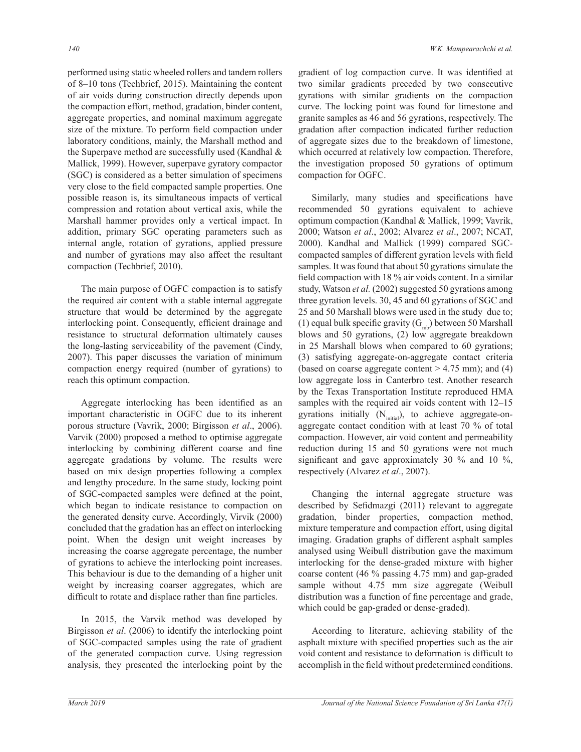performed using static wheeled rollers and tandem rollers of 8–10 tons (Techbrief, 2015). Maintaining the content of air voids during construction directly depends upon the compaction effort, method, gradation, binder content, aggregate properties, and nominal maximum aggregate size of the mixture. To perform field compaction under laboratory conditions, mainly, the Marshall method and the Superpave method are successfully used (Kandhal  $\&$ Mallick, 1999). However, superpave gyratory compactor (SGC) is considered as a better simulation of specimens very close to the field compacted sample properties. One possible reason is, its simultaneous impacts of vertical compression and rotation about vertical axis, while the Marshall hammer provides only a vertical impact. In addition, primary SGC operating parameters such as internal angle, rotation of gyrations, applied pressure and number of gyrations may also affect the resultant compaction (Techbrief, 2010).

 The main purpose of OGFC compaction is to satisfy the required air content with a stable internal aggregate structure that would be determined by the aggregate interlocking point. Consequently, efficient drainage and resistance to structural deformation ultimately causes the long-lasting serviceability of the pavement (Cindy, 2007). This paper discusses the variation of minimum compaction energy required (number of gyrations) to reach this optimum compaction.

Aggregate interlocking has been identified as an important characteristic in OGFC due to its inherent porous structure (Vavrik, 2000; Birgisson et al., 2006). Varvik (2000) proposed a method to optimise aggregate interlocking by combining different coarse and fine aggregate gradations by volume. The results were based on mix design properties following a complex and lengthy procedure. In the same study, locking point of SGC-compacted samples were defined at the point, which began to indicate resistance to compaction on the generated density curve. Accordingly, Virvik (2000) concluded that the gradation has an effect on interlocking point. When the design unit weight increases by increasing the coarse aggregate percentage, the number of gyrations to achieve the interlocking point increases. This behaviour is due to the demanding of a higher unit weight by increasing coarser aggregates, which are difficult to rotate and displace rather than fine particles.

In 2015, the Varvik method was developed by Birgisson *et al*. (2006) to identify the interlocking point of SGC-compacted samples using the rate of gradient of the generated compaction curve. Using regression analysis, they presented the interlocking point by the

gradient of log compaction curve. It was identified at two similar gradients preceded by two consecutive gyrations with similar gradients on the compaction curve. The locking point was found for limestone and granite samples as 46 and 56 gyrations, respectively. The gradation after compaction indicated further reduction of aggregate sizes due to the breakdown of limestone, which occurred at relatively low compaction. Therefore, the investigation proposed 50 gyrations of optimum compaction for OGFC.

Similarly, many studies and specifications have recommended 50 gyrations equivalent to achieve optimum compaction (Kandhal & Mallick, 1999; Vavrik, 2000; Watson et al., 2002; Alvarez et al., 2007; NCAT, 2000). Kandhal and Mallick (1999) compared SGCcompacted samples of different gyration levels with field samples. It was found that about 50 gyrations simulate the field compaction with  $18\%$  air voids content. In a similar study, Watson et al. (2002) suggested 50 gyrations among three gyration levels. 30, 45 and 60 gyrations of SGC and 25 and 50 Marshall blows were used in the study due to; (1) equal bulk specific gravity ( $G<sub>mb</sub>$ ) between 50 Marshall blows and 50 gyrations, (2) low aggregate breakdown in 25 Marshall blows when compared to  $60$  gyrations; (3) satisfying aggregate*-*on*-*aggregate contact criteria (based on coarse aggregate content  $> 4.75$  mm); and (4) low aggregate loss in Canterbro test. Another research by the Texas Transportation Institute reproduced HMA samples with the required air voids content with 12*–* gyrations initially (N<sub>initial</sub>), to achieve aggregate-onaggregate contact condition with at least 70  $\%$  of total compaction. However, air void content and permeability reduction during 15 and 50 gyrations were not much significant and gave approximately 30  $\%$  and 10  $\%$ , respectively (Alvarez *et al* 

 Changing the internal aggregate structure was described by Sefidmazgi (2011) relevant to aggregate gradation, binder properties, compaction method, mixture temperature and compaction effort, using digital imaging. Gradation graphs of different asphalt samples analysed using Weibull distribution gave the maximum interlocking for the dense*-*graded mixture with higher coarse content (46  $\%$  passing 4.75 mm) and gap-graded sample without 4.75 mm size aggregate (Weibull distribution was a function of fine percentage and grade, which could be gap-graded or dense*-*graded).

According to literature, achieving stability of the asphalt mixture with specified properties such as the air void content and resistance to deformation is difficult to accomplish in the field without predetermined conditions.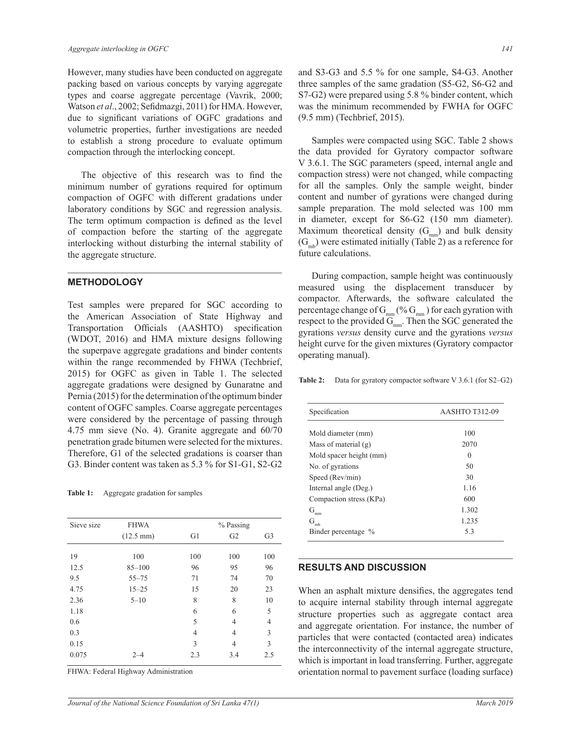However, many studies have been conducted on aggregate packing based on various concepts by varying aggregate types and coarse aggregate percentage (Vavrik, 2000; Watson et al., 2002; Sefidmazgi, 2011) for HMA. However, due to significant variations of OGFC gradations and volumetric properties, further investigations are needed to establish a strong procedure to evaluate optimum compaction through the interlocking concept.

The objective of this research was to find the minimum number of gyrations required for optimum compaction of OGFC with different gradations under laboratory conditions by SGC and regression analysis. The term optimum compaction is defined as the level of compaction before the starting of the aggregate interlocking without disturbing the internal stability of the aggregate structure.

#### **METHODOLOGY**

Test samples were prepared for SGC according to the American Association of State Highway and Transportation Officials (AASHTO) specification (WDOT, 2016) and HMA mixture designs following the superpave aggregate gradations and binder contents within the range recommended by FHWA (Techbrief, 2015) for OGFC as given in Table 1. The selected aggregate gradations were designed by Gunaratne and Pernia (2015) for the determination of the optimum binder content of OGFC samples. Coarse aggregate percentages were considered by the percentage of passing through 4.75 mm sieve (No. 4). Granite aggregate and  $60/70$ penetration grade bitumen were selected for the mixtures. Therefore, G1 of the selected gradations is coarser than G3. Binder content was taken as 5.3 % for S1-G1, S2-G2

**Table 1:** Aggregate gradation for samples

| Sieve size | <b>FHWA</b>         | % Passing      |                |                |
|------------|---------------------|----------------|----------------|----------------|
|            | $(12.5 \text{ mm})$ | G1             | G <sub>2</sub> | G <sub>3</sub> |
| 19         | 100                 | 100            | 100            | 100            |
| 12.5       | $85 - 100$          | 96             | 95             | 96             |
| 9.5        | $55 - 75$           | 71             | 74             | 70             |
| 4.75       | $15 - 25$           | 15             | 20             | 23             |
| 2.36       | $5 - 10$            | 8              | 8              | 10             |
| 1.18       |                     | 6              | 6              | 5              |
| 0.6        |                     | 5              | 4              | $\overline{4}$ |
| 0.3        |                     | $\overline{4}$ | 4              | 3              |
| 0.15       |                     | 3              | 4              | 3              |
| 0.075      | $2 - 4$             | 2.3            | 3.4            | 2.5            |
|            |                     |                |                |                |

FHWA: Federal Highway Administration

and S3-G3 and 5.5 % for one sample, S4-G3. Another three samples of the same gradation (S5-G2, S6-G2 and S7-G2) were prepared using 5.8 % binder content, which was the minimum recommended by FWHA for OGFC  $(9.5 \text{ mm})$  (Techbrief, 2015).

 Samples were compacted using SGC. Table 2 shows the data provided for Gyratory compactor software V 3.6.1. The SGC parameters (speed, internal angle and compaction stress) were not changed, while compacting for all the samples. Only the sample weight, binder content and number of gyrations were changed during sample preparation. The mold selected was 100 mm in diameter, except for S6-G2 (150 mm diameter). Maximum theoretical density  $(G<sub>mm</sub>)$  and bulk density  $(G<sub>mb</sub>)$  were estimated initially (Table 2) as a reference for future calculations.

During compaction, sample height was continuously measured using the displacement transducer by compactor. Afterwards, the software calculated the percentage change of  $G_{_{mm}}$  (%  $G_{_{mm}}$ ) for each gyration with respect to the provided  $G<sub>mm</sub>$ . Then the SGC generated the gyrations *versus* density curve and the gyrations *versus* height curve for the given mixtures (Gyratory compactor operating manual).

**Table 2:** Data for gyratory compactor software V 3.6.1 (for S2–G2)

| Specification           | <b>AASHTO T312-09</b> |  |  |
|-------------------------|-----------------------|--|--|
| Mold diameter (mm)      | 100                   |  |  |
| Mass of material $(g)$  | 2070                  |  |  |
| Mold spacer height (mm) | 0                     |  |  |
| No. of gyrations        | 50                    |  |  |
| Speed (Rev/min)         | 30                    |  |  |
| Internal angle (Deg.)   | 1.16                  |  |  |
| Compaction stress (KPa) | 600                   |  |  |
| G<br>mm                 | 1.302                 |  |  |
| G<br>m <sub>b</sub>     | 1.235                 |  |  |
| Binder percentage %     | 53                    |  |  |

### **RESULTS AND DISCUSSION**

When an asphalt mixture densifies, the aggregates tend to acquire internal stability through internal aggregate structure properties such as aggregate contact area and aggregate orientation. For instance, the number of particles that were contacted (contacted area) indicates the interconnectivity of the internal aggregate structure. which is important in load transferring. Further, aggregate orientation normal to pavement surface (loading surface)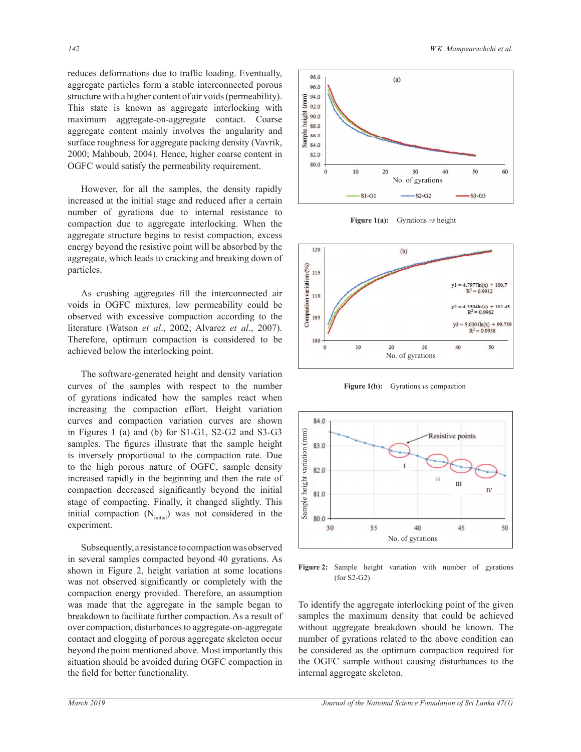reduces deformations due to traffic loading. Eventually, aggregate particles form a stable interconnected porous structure with a higher content of air voids (permeability). This state is known as aggregate interlocking with maximum aggregate*-*on*-*aggregate contact. Coarse aggregate content mainly involves the angularity and surface roughness for aggregate packing density (Vavrik, 2000; Mahboub, 2004). Hence, higher coarse content in OGFC would satisfy the permeability requirement.

However, for all the samples, the density rapidly increased at the initial stage and reduced after a certain number of gyrations due to internal resistance to compaction due to aggregate interlocking. When the aggregate structure begins to resist compaction, excess energy beyond the resistive point will be absorbed by the aggregate, which leads to cracking and breaking down of particles.

As crushing aggregates fill the interconnected air voids in OGFC mixtures, low permeability could be observed with excessive compaction according to the literature (Watson et al., 2002; Alvarez et al., 2007). Therefore, optimum compaction is considered to be achieved below the interlocking point.

 The software-generated height and density variation curves of the samples with respect to the number of gyrations indicated how the samples react when increasing the compaction effort. Height variation curves and compaction variation curves are shown in Figures 1 (a) and (b) for S1-G1, S2-G2 and S3-G3 samples. The figures illustrate that the sample height is inversely proportional to the compaction rate. Due to the high porous nature of OGFC, sample density increased rapidly in the beginning and then the rate of compaction decreased significantly beyond the initial stage of compacting. Finally, it changed slightly. This initial compaction  $(N_{initial})$  was not considered in the experiment.

Subsequently, a resistance to compaction was observed in several samples compacted beyond 40 gyrations. As shown in Figure 2, height variation at some locations was not observed significantly or completely with the compaction energy provided. Therefore, an assumption was made that the aggregate in the sample began to breakdown to facilitate further compaction. As a result of by over compaction, disturbances to aggregate-on-aggregate contact and clogging of porous aggregate skeleton occur beyond the point mentioned above. Most importantly this situation should be avoided during OGFC compaction in the field for better functionality.



**Figure 1(a):** Gyrations *vs* height



**Figure 1(b):** Gyrations *vs* compaction



Figure 2: Sample height variation with number of gyrations (for S2*-*G2)

To identify the aggregate interlocking point of the given samples the maximum density that could be achieved without aggregate breakdown should be known. The number of gyrations related to the above condition can be considered as the optimum compaction required for the OGFC sample without causing disturbances to the internal aggregate skeleton.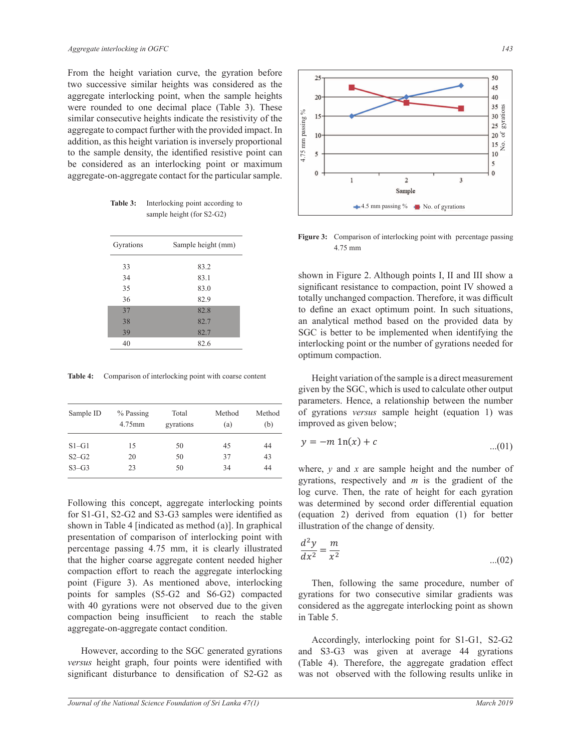From the height variation curve, the gyration before two successive similar heights was considered as the aggregate interlocking point, when the sample heights were rounded to one decimal place (Table 3). These similar consecutive heights indicate the resistivity of the aggregate to compact further with the provided impact. In addition, as this height variation is inversely proportional to the sample density, the identified resistive point can be considered as an interlocking point or maximum aggregate*-*on*-*aggregate contact for the particular sample.

| Table 3: | Interlocking point according to |
|----------|---------------------------------|
|          | sample height (for S2-G2)       |

| Gyrations | Sample height (mm) |
|-----------|--------------------|
| 33        | 83.2               |
| 34        | 83.1               |
| 35        | 83.0               |
| 36        | 82.9               |
| 37        | 82.8               |
| 38        | 82.7               |
| 39        | 82.7               |
| 40        | 82.6               |
|           |                    |

Table 4: Comparison of interlocking point with coarse content

| Sample ID | $%$ Passing<br>4.75mm | Total<br>gyrations | Method<br>(a) | Method<br>(b) |
|-----------|-----------------------|--------------------|---------------|---------------|
| $S1-G1$   | 15                    | 50                 | 45            | 44            |
| $S2-G2$   | 20                    | 50                 | 37            | 43            |
| $S3-G3$   | 23                    | 50                 | 34            | 44            |

Following this concept, aggregate interlocking points for S1-G1, S2-G2 and S3-G3 samples were identified as shown in Table 4 [indicated as method  $(a)$ ]. In graphical presentation of comparison of interlocking point with percentage passing 4.75 mm, it is clearly illustrated that the higher coarse aggregate content needed higher compaction effort to reach the aggregate interlocking point (Figure 3). As mentioned above, interlocking points for samples (S5-G2 and S6-G2) compacted with 40 gyrations were not observed due to the given compaction being insufficient to reach the stable aggregate*-*on*-*aggregate contact condition.

However, according to the SGC generated gyrations *versus* height graph, four points were identified with significant disturbance to densification of S2-G2 as



Figure 3: Comparison of interlocking point with percentage passing 4.75 mm

shown in Figure 2. Although points I, II and III show a significant resistance to compaction, point IV showed a totally unchanged compaction. Therefore, it was difficult to define an exact optimum point. In such situations, an analytical method based on the provided data by SGC is better to be implemented when identifying the interlocking point or the number of gyrations needed for optimum compaction.

 Height variation of the sample is a direct measurement given by the SGC, which is used to calculate other output parameters. Hence, a relationship between the number of gyrations *versus* sample height (equation 1) was improved as given below;

$$
y = -m \ln(x) + c \tag{01}
$$

log curve. Then, the rate of height for each gyration was determined by second order differential equation<br>(equation 2) derived from equation (1) for better was determined by second order differential equation where,  $y$  and  $x$  are sample height and the number of gyrations, respectively and  $m$  is the gradient of the illustration of the change of density.

$$
\frac{d^2y}{dx^2} = \frac{m}{x^2} \tag{02}
$$

Then, following the same procedure, number of gyrations for two consecutive similar gradients was considered as the aggregate interlocking point as shown in Table 5.

Accordingly, interlocking point for S1-G1, S2-G2 and S3*-*G3 was given at average 44 gyrations (Table 4). Therefore, the aggregate gradation effect was not observed with the following results unlike in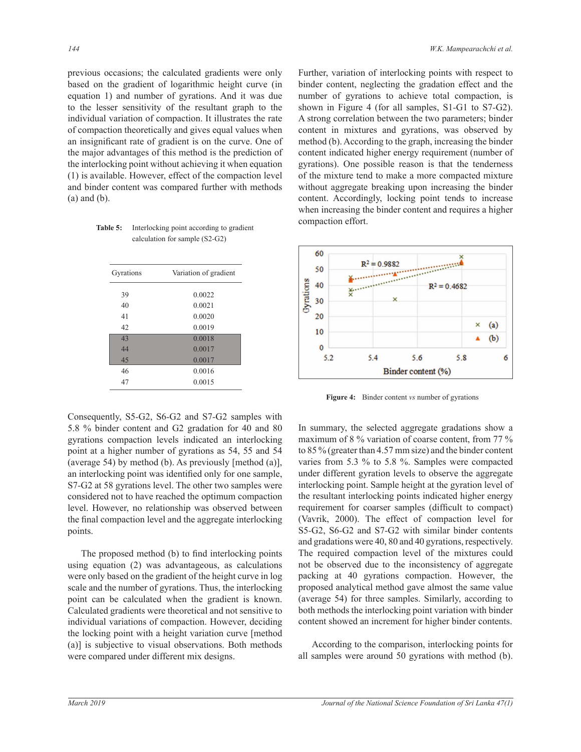previous occasions; the calculated gradients were only based on the gradient of logarithmic height curve (in equation 1) and number of gyrations. And it was due to the lesser sensitivity of the resultant graph to the individual variation of compaction. It illustrates the rate of compaction theoretically and gives equal values when an insignificant rate of gradient is on the curve. One of the major advantages of this method is the prediction of the interlocking point without achieving it when equation  $(1)$  is available. However, effect of the compaction level and binder content was compared further with methods (a) and (b).

**Table 5:** Interlocking point according to gradient calculation for sample (S2*-*G2)

| Gyrations | Variation of gradient |  |
|-----------|-----------------------|--|
| 39        | 0.0022                |  |
| 40        | 0.0021                |  |
| 41        | 0.0020                |  |
| 42        | 0.0019                |  |
| 43        | 0.0018                |  |
| 44        | 0.0017                |  |
| 45        | 0.0017                |  |
| 46        | 0.0016                |  |
| 47        | 0.0015                |  |

Consequently, S5-G2, S6-G2 and S7-G2 samples with 5.8 % binder content and G2 gradation for 40 and 80 gyrations compaction levels indicated an interlocking point at a higher number of gyrations as 54, 55 and 54 (average 54) by method (b). As previously [method (a)], an interlocking point was identified only for one sample, S7-G2 at 58 gyrations level. The other two samples were considered not to have reached the optimum compaction level. However, no relationship was observed between the final compaction level and the aggregate interlocking points.

The proposed method (b) to find interlocking points using equation  $(2)$  was advantageous, as calculations were only based on the gradient of the height curve in log scale and the number of gyrations. Thus, the interlocking point can be calculated when the gradient is known. Calculated gradients were theoretical and not sensitive to individual variations of compaction. However, deciding the locking point with a height variation curve [method (a)] is subjective to visual observations. Both methods were compared under different mix designs.

Further, variation of interlocking points with respect to binder content, neglecting the gradation effect and the number of gyrations to achieve total compaction, is shown in Figure 4 (for all samples, S1-G1 to S7-G2). A strong correlation between the two parameters; binder content in mixtures and gyrations, was observed by method (b). According to the graph, increasing the binder content indicated higher energy requirement (number of gyrations). One possible reason is that the tenderness of the mixture tend to make a more compacted mixture without aggregate breaking upon increasing the binder content. Accordingly, locking point tends to increase when increasing the binder content and requires a higher compaction effort.



**Figure 4:** Binder content *vs* number of gyrations

(average 54) for three samples. Similarly, according to In summary, the selected aggregate gradations show a maximum of 8  $\%$  variation of coarse content, from 77  $\%$ to 85  $\%$  (greater than 4.57 mm size) and the binder content varies from 5.3  $\%$  to 5.8  $\%$ . Samples were compacted under different gyration levels to observe the aggregate interlocking point. Sample height at the gyration level of the resultant interlocking points indicated higher energy requirement for coarser samples (difficult to compact) (Vavrik, 2000). The effect of compaction level for 6*-*\* 6*-*G2 and S7*-*G2 with similar binder contents and gradations were  $40$ ,  $80$  and  $40$  gyrations, respectively. The required compaction level of the mixtures could not be observed due to the inconsistency of aggregate packing at 40 gyrations compaction. However, the proposed analytical method gave almost the same value both methods the interlocking point variation with binder content showed an increment for higher binder contents.

According to the comparison, interlocking points for all samples were around 50 gyrations with method  $(b)$ .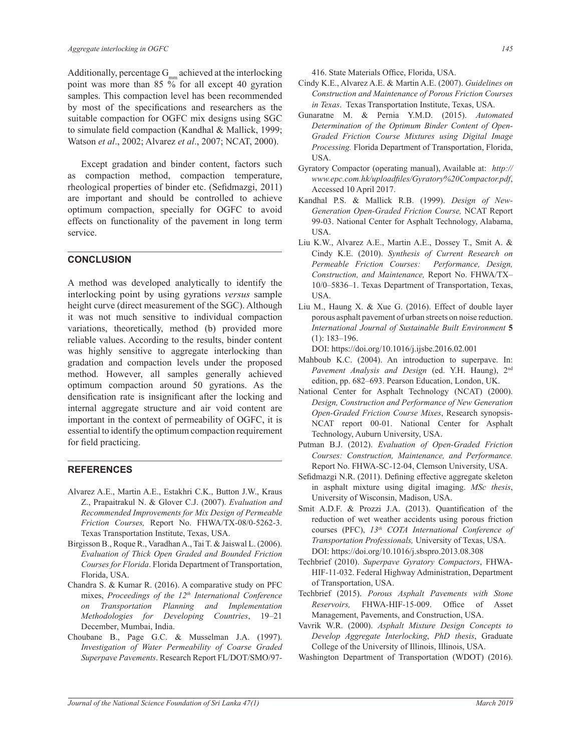Additionally, percentage  $G_{mn}$  achieved at the interlocking point was more than 85  $\%$  for all except 40 gyration samples. This compaction level has been recommended by most of the specifications and researchers as the suitable compaction for OGFC mix designs using SGC to simulate field compaction (Kandhal & Mallick, 1999; Watson et al., 2002; Alvarez et al., 2007; NCAT, 2000).

Except gradation and binder content, factors such as compaction method, compaction temperature, rheological properties of binder etc. (Sefidmazgi, 2011) are important and should be controlled to achieve optimum compaction, specially for OGFC to avoid effects on functionality of the pavement in long term service.

#### **CONCLUSION**

A method was developed analytically to identify the interlocking point by using gyrations *versus* sample height curve (direct measurement of the SGC). Although it was not much sensitive to individual compaction variations, theoretically, method (b) provided more reliable values. According to the results, binder content was highly sensitive to aggregate interlocking than gradation and compaction levels under the proposed method. However, all samples generally achieved optimum compaction around 50 gyrations. As the densification rate is insignificant after the locking and internal aggregate structure and air void content are important in the context of permeability of OGFC, it is essential to identify the optimum compaction requirement for field practicing.

#### **REFERENCES**

- Alvarez A.E., Martin A.E., Estakhri C.K., Button J.W., Kraus Z., Prapaitrakul N. & Glover C.J. (2007). Evaluation and *Recommended Improvements for Mix Design of Permeable Friction Courses, Report No. FHWA/TX-08/0-5262-3.* Texas Transportation Institute, Texas, USA.
- Birgisson B., Roque R., Varadhan A., Tai T. & Jaiswal L. (2006). *Evaluation of Thick Open Graded and Bounded Friction*  Courses for Florida. Florida Department of Transportation, Florida, USA.
- Chandra S. & Kumar R. (2016). A comparative study on PFC mixes, Proceedings of the 12<sup>th</sup> International Conference *on Transportation Planning and Implementation Methodologies for Developing Countries*, 19-21 December, Mumbai, India.
- Choubane B., Page G.C. & Musselman J.A. (1997). *Investigation of Water Permeability of Coarse Graded Superpave Pavements*. Research Report FL/DOT/SMO/97*-*

416. State Materials Office, Florida, USA.

- Cindy K.E., Alvarez A.E. & Martin A.E. (2007). Guidelines on *Construction and Maintenance of Porous Friction Courses in Texas*. Texas Transportation Institute, Texas, USA.
- Gunaratne M. & Pernia Y.M.D. (2015). Automated *Determination of the Optimum Binder Content of Open-Graded Friction Course Mixtures using Digital Image*  Processing. Florida Department of Transportation, Florida, USA.
- Gyratory Compactor (operating manual), Available at: http:// *www.epc.com.hk/uploadfiles/Gyratory%20Compactor.pdf.* Accessed 10 April 2017.
- Kandhal P.S. & Mallick R.B. (1999). *Design of New-Generation Open-Graded Friction Course,* NCAT Report 99-03. National Center for Asphalt Technology, Alabama, USA.
- Liu K.W., Alvarez A.E., Martin A.E., Dossey T., Smit A. & Cindy K.E. (2010). *Synthesis of Current Research on Permeable Friction Courses: Performance, Design, Construction, and Maintenance, Report No. FHWA/TX-*10/0–5836–1. Texas Department of Transportation, Texas, **USA**
- Liu M., Haung X. & Xue G.  $(2016)$ . Effect of double layer porous asphalt pavement of urban streets on noise reduction. *International Journal of Sustainable Built Environment* **5** (1): 183*–*196.

DOI: https://doi.org/10.1016/j.ijsbe.2016.02.001

- Mahboub K.C. (2004). An introduction to superpave. In: Pavement Analysis and Design (ed. Y.H. Haung), 2<sup>nd</sup> edition, pp. 682–693. Pearson Education, London, UK.
- National Center for Asphalt Technology (NCAT) (2000). *Design, Construction and Performance of New Generation*  **Open-Graded Friction Course Mixes, Research synopsis-**NCAT report 00*-*01. National Center for Asphalt Technology, Auburn University, USA.
- Putman B.J. (2012). *Evaluation of Open-Graded Friction Courses: Construction, Maintenance, and Performance.*  Report No. FHWA-SC-12-04, Clemson University, USA.
- Sefidmazgi N.R. (2011). Defining effective aggregate skeleton in asphalt mixture using digital imaging. *MSc thesis* University of Wisconsin, Madison, USA.
- Smit A.D.F. & Prozzi J.A. (2013). Quantification of the reduction of wet weather accidents using porous friction courses (PFC), 13<sup>th</sup> COTA International Conference of *Transportation Professionals, University of Texas, USA.* DOI: https://doi.org/10.1016/j.sbspro.2013.08.308
- Techbrief (2010). *Superpave Gyratory Compactors*, FHWA-HIF-11-032. Federal Highway Administration, Department of Transportation, USA.
- Techbrief (2015). Porous Asphalt Pavements with Stone *Reservoirs,* FHWA-HIF-15-009. Office of Asset Management, Pavements, and Construction, USA.
- Vavrik W.R. (2000). Asphalt Mixture Design Concepts to *Develop Aggregate Interlocking*, *PhD thesis*, Graduate College of the University of Illinois, Illinois, USA.
- Washington Department of Transportation (WDOT) (2016).